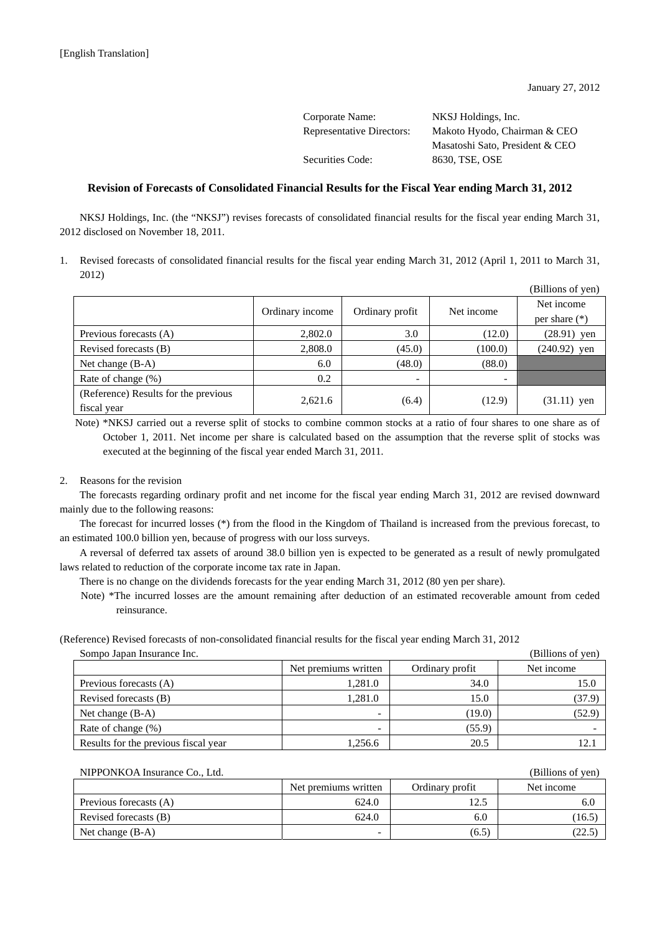| Corporate Name:                  | NKSJ Holdings, Inc.             |
|----------------------------------|---------------------------------|
| <b>Representative Directors:</b> | Makoto Hyodo, Chairman & CEO    |
|                                  | Masatoshi Sato, President & CEO |
| Securities Code:                 | 8630, TSE, OSE                  |
|                                  |                                 |

## **Revision of Forecasts of Consolidated Financial Results for the Fiscal Year ending March 31, 2012**

NKSJ Holdings, Inc. (the "NKSJ") revises forecasts of consolidated financial results for the fiscal year ending March 31, 2012 disclosed on November 18, 2011.

1. Revised forecasts of consolidated financial results for the fiscal year ending March 31, 2012 (April 1, 2011 to March 31, 2012)

|                                      |                 |                 |            | (Billions of yen) |
|--------------------------------------|-----------------|-----------------|------------|-------------------|
|                                      |                 |                 | Net income | Net income        |
|                                      | Ordinary income | Ordinary profit |            | per share $(*)$   |
| Previous forecasts (A)               | 2,802.0         | 3.0             | (12.0)     | $(28.91)$ yen     |
| Revised forecasts (B)                | 2,808.0         | (45.0)          | (100.0)    | $(240.92)$ yen    |
| Net change $(B-A)$                   | 6.0             | (48.0)          | (88.0)     |                   |
| Rate of change (%)                   | 0.2             | -               |            |                   |
| (Reference) Results for the previous | 2,621.6         |                 |            |                   |
| fiscal year                          |                 | (6.4)           | (12.9)     | $(31.11)$ yen     |

Note) \*NKSJ carried out a reverse split of stocks to combine common stocks at a ratio of four shares to one share as of October 1, 2011. Net income per share is calculated based on the assumption that the reverse split of stocks was executed at the beginning of the fiscal year ended March 31, 2011.

## 2. Reasons for the revision

The forecasts regarding ordinary profit and net income for the fiscal year ending March 31, 2012 are revised downward mainly due to the following reasons:

The forecast for incurred losses (\*) from the flood in the Kingdom of Thailand is increased from the previous forecast, to an estimated 100.0 billion yen, because of progress with our loss surveys.

A reversal of deferred tax assets of around 38.0 billion yen is expected to be generated as a result of newly promulgated laws related to reduction of the corporate income tax rate in Japan.

There is no change on the dividends forecasts for the year ending March 31, 2012 (80 yen per share).

Note) \*The incurred losses are the amount remaining after deduction of an estimated recoverable amount from ceded reinsurance.

(Reference) Revised forecasts of non-consolidated financial results for the fiscal year ending March 31, 2012

| Sompo Japan Insurance Inc.           |                      |                 | (Billions of yen) |
|--------------------------------------|----------------------|-----------------|-------------------|
|                                      | Net premiums written | Ordinary profit | Net income        |
| Previous forecasts (A)               | 1,281.0              | 34.0            | 15.0              |
| Revised forecasts (B)                | 1,281.0              | 15.0            | (37.9)            |
| Net change $(B-A)$                   | -                    | (19.0)          | (52.9)            |
| Rate of change (%)                   | -                    | (55.9)          |                   |
| Results for the previous fiscal year | 1,256.6              | 20.5            |                   |

| NIPPONKOA Insurance Co., Ltd. |                      |                 | (Billions of yen) |
|-------------------------------|----------------------|-----------------|-------------------|
|                               | Net premiums written | Ordinary profit | Net income        |
| Previous forecasts (A)        | 624.0                | 12.5            | 6.0               |
| Revised forecasts (B)         | 624.0                | 6.0             | (16.5)            |
| Net change $(B-A)$            |                      | (6.5)           | (22.5)            |